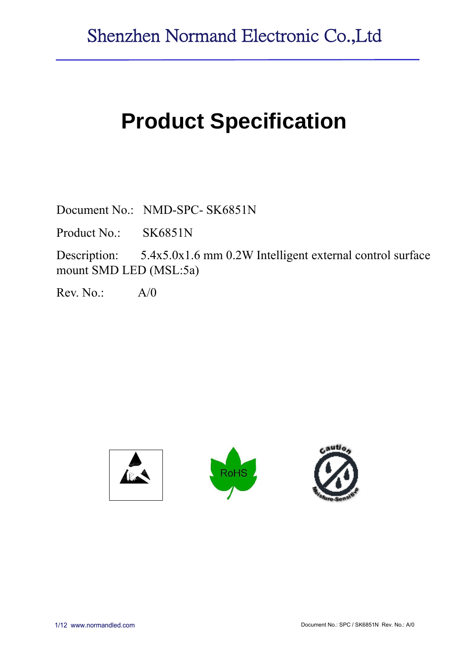# **Product Specification**

Document No.: NMD-SPC- SK6851N

Product No.: SK6851N

Description: 5.4x5.0x1.6 mm 0.2W Intelligent external control surface mount SMD LED (MSL:5a)

 $Rev. No.: A/0$ 

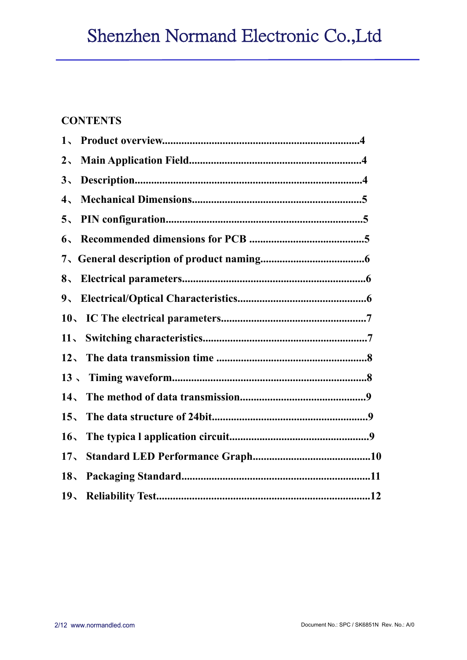# **CONTENTS**

| $2\overline{ }$ |  |
|-----------------|--|
| 3 <sub>1</sub>  |  |
| 4,              |  |
| 5 <sub>1</sub>  |  |
| $6\sqrt{ }$     |  |
|                 |  |
| 8 <sub>1</sub>  |  |
| $9_{\sim}$      |  |
|                 |  |
| 11 <sub>2</sub> |  |
|                 |  |
|                 |  |
|                 |  |
| $15 -$          |  |
| 16 <sub>1</sub> |  |
| 17 <sub>1</sub> |  |
|                 |  |
|                 |  |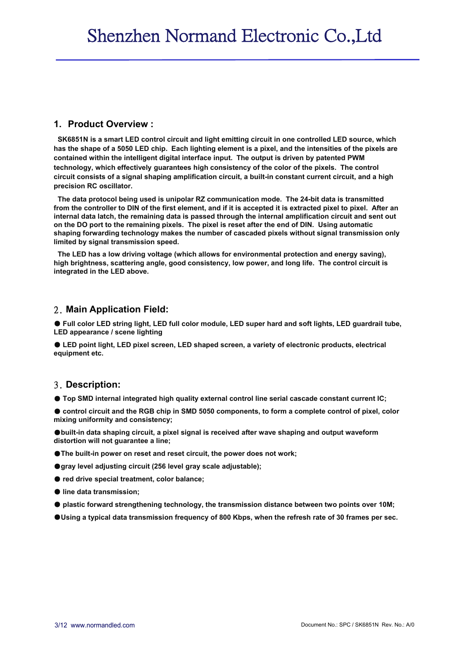#### **1. Product Overview :**

**SK6851N is a smart LED control circuit and light emitting circuit in one controlled LED source, which has the shape of a 5050 LED chip. Each lighting element is a pixel, and the intensities of the pixels are contained within the intelligent digital interface input. The output is driven by patented PWM technology, which effectively guarantees high consistency of the color of the pixels. The control circuit consists of a signal shaping amplification circuit, a built-in constant current circuit, and a high precision RC oscillator.**

**The data protocol being used is unipolar RZ communication mode. The 24-bit data is transmitted from the controller to DIN of the first element, and if it is accepted it is extracted pixel to pixel. After an internal data latch, the remaining data is passed through the internal amplification circuit and sent out on the DO port to the remaining pixels. The pixel is reset after the end of DIN. Using automatic shaping forwarding technology makes the number of cascaded pixels without signal transmission only limited by signal transmission speed.**

**The LED has a low driving voltage (which allows for environmental protection and energy saving), high brightness, scattering angle, good consistency, low power, and long life. The control circuit is integrated in the LED above.**

#### 2. **Main Application Field:**

● Full color LED string light, LED full color module, LED super hard and soft lights, LED quardrail tube, **LED appearance / scene lighting**

● **LED point light, LED pixel screen, LED shaped screen, a variety of electronic products, electrical equipment etc.**

#### 3. **Description:**

● **Top SMD internal integrated high quality external control line serial cascade constant current IC;**

● control circuit and the RGB chip in SMD 5050 components, to form a complete control of pixel, color **mixing uniformity and consistency;**

●**built-in data shaping circuit, a pixel signal is received after wave shaping and output waveform distortion will not guarantee a line;**

- ●**The built-in power on reset and reset circuit, the power does not work;**
- ●**gray level adjusting circuit (256 level gray scale adjustable);**
- **red drive special treatment, color balance:**
- **line data transmission;**
- **plastic forward strengthening technology, the transmission distance between two points over 10M;**
- ●**Using a typical data transmission frequency of 800 Kbps, when the refresh rate of 30 frames per sec.**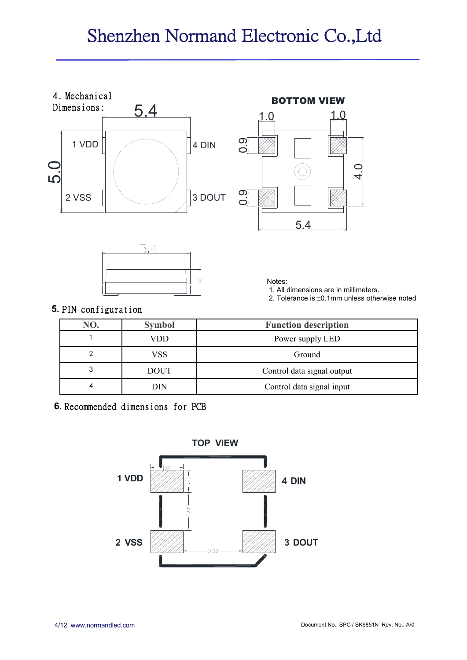# Shenzhen Normand Electronic Co.,Ltd







Notes:

1. All dimensions are in millimeters.

2. Tolerance is ±0.1mm unless otherwise noted

#### **5.** PIN configuration

| NO. | <b>Symbol</b> | <b>Function description</b> |  |
|-----|---------------|-----------------------------|--|
|     | VDD           | Power supply LED            |  |
|     | VSS           | Ground                      |  |
| 3   | <b>DOUT</b>   | Control data signal output  |  |
| 4   | DIN           | Control data signal input   |  |

**6.** Recommended dimensions for PCB

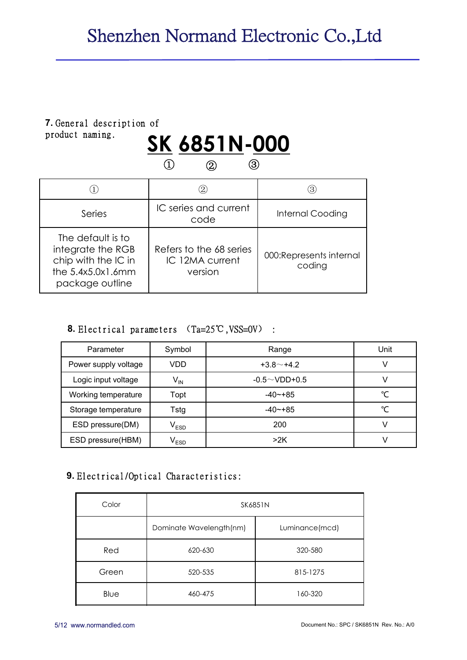# **7.** General description of product naming.

# product naming. **SK 6851N-000**  ① ② ③

|                                                                                                         |                                                       | Э)                                 |
|---------------------------------------------------------------------------------------------------------|-------------------------------------------------------|------------------------------------|
| Series                                                                                                  | IC series and current<br>code                         | <b>Internal Cooding</b>            |
| The default is to<br>integrate the RGB<br>chip with the IC in<br>the $5.4x5.0x1.6mm$<br>package outline | Refers to the 68 series<br>IC 12MA current<br>version | 000: Represents internal<br>coding |

#### **8.** Electrical parameters (Ta=25℃,VSS=0V) :

| Parameter            | Symbol                      | Range               | Unit |
|----------------------|-----------------------------|---------------------|------|
| Power supply voltage | VDD                         | $+3.8$ $-$ +4.2     |      |
| Logic input voltage  | $V_{IN}$                    | $-0.5 \sim$ VDD+0.5 |      |
| Working temperature  | Topt                        | $-40$ $-+85$        | ℃    |
| Storage temperature  | Tstg                        | $-40$ $-+85$        | ℃    |
| ESD pressure(DM)     | $\mathsf{V}_{\mathsf{ESD}}$ | 200                 |      |
| ESD pressure(HBM)    | $\mathsf{V}_{\mathsf{ESD}}$ | >2K                 |      |

### **9.** Electrical/Optical Characteristics:

| Color | SK6851N                 |                |  |  |  |
|-------|-------------------------|----------------|--|--|--|
|       | Dominate Wavelength(nm) | Luminance(mcd) |  |  |  |
| Red   | 620-630                 | 320-580        |  |  |  |
| Green | 520-535                 | 815-1275       |  |  |  |
| Blue  | 460-475                 | 160-320        |  |  |  |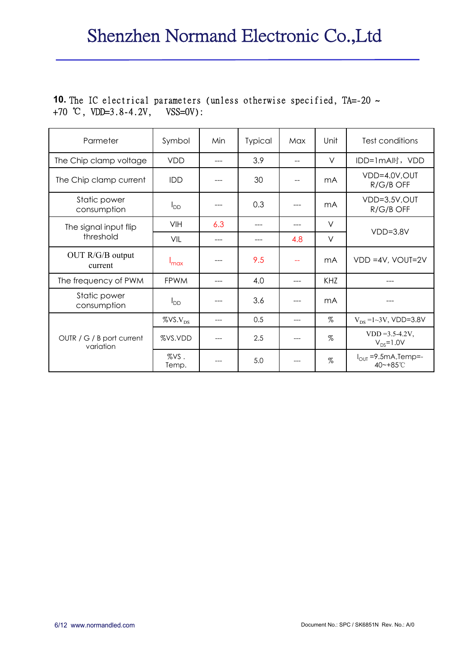### **10.** The IC electrical parameters (unless otherwise specified, TA=-20 ~ +70 ℃, VDD=3.8-4.2V, VSS=0V):

| Parmeter                               | Symbol                  | Min   | <b>Typical</b> | Max | Unit       | Test conditions                        |
|----------------------------------------|-------------------------|-------|----------------|-----|------------|----------------------------------------|
| The Chip clamp voltage                 | <b>VDD</b>              |       | 3.9            |     | $\vee$     | IDD=1mA时,VDD                           |
| The Chip clamp current                 | <b>IDD</b>              |       | 30             | --  | mA         | VDD=4.0V, OUT<br>R/G/B OFF             |
| Static power<br>consumption            | $I_{DD}$                |       | 0.3            |     | mA         | VDD=3.5V, OUT<br>R/G/B OFF             |
| The signal input flip                  | VIH                     | 6.3   |                |     | $\vee$     | $VDD=3.8V$                             |
| threshold                              | VIL                     |       | ---            | 4.8 | $\vee$     |                                        |
| OUT R/G/B output<br>current            | $I_{\text{max}}$        |       | 9.5            | $-$ | mA         | $VDD = 4V$ , $VOUT = 2V$               |
| The frequency of PWM                   | <b>FPWM</b>             |       | 4.0            | --- | <b>KHZ</b> |                                        |
| Static power<br>consumption            | $I_{DD}$                |       | 3.6            |     | mA         |                                        |
|                                        | $\%$ VS.V <sub>DS</sub> | $---$ | 0.5            | --- | $\%$       | $V_{DS}$ =1~3V, VDD=3.8V               |
| OUTR / G / B port current<br>variation | %VS.VDD                 |       | 2.5            |     | $\%$       | $VDD = 3.5 - 4.2V,$<br>$V_{DS} = 1.0V$ |
|                                        | %VS.<br>Temp.           |       | 5.0            |     | $\%$       | $I_{OUT} = 9.5mA$ , Temp=-<br>40~+85°C |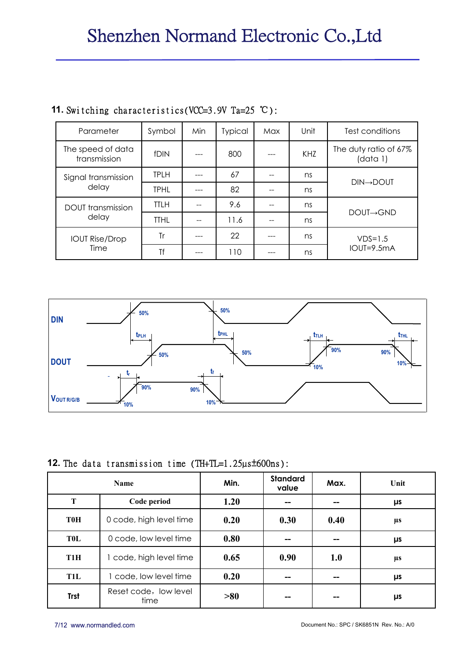| Parameter                         | Symbol      | Min | <b>Typical</b> | Max | Unit | Test conditions                   |
|-----------------------------------|-------------|-----|----------------|-----|------|-----------------------------------|
| The speed of data<br>transmission | fDIN        |     | 800            |     | KHZ  | The duty ratio of 67%<br>(data 1) |
| Signal transmission               | <b>TPLH</b> |     | 67             |     | ns   | $DIN \rightarrow DOUT$            |
| delay                             | <b>TPHL</b> |     | 82             |     | ns   |                                   |
| <b>DOUT</b> transmission          | <b>TTLH</b> |     | 9.6            |     | ns   | $DOUI \rightarrow GND$            |
| delay                             | <b>TTHL</b> |     | 11.6           |     | ns   |                                   |
| <b>IOUT Rise/Drop</b>             | Tr          |     | 22             |     | ns   | $VDS=1.5$                         |
| Time                              | Τf          |     | 110            |     | ns   | IOUT=9.5mA                        |

## **11.** Switching characteristics(VCC=3.9V Ta=25 ℃):



#### **12.** The data transmission time (TH+TL=1.25µs±600ns):

|                  | <b>Name</b>                   | Min. | <b>Standard</b><br>value | Max. | Unit    |
|------------------|-------------------------------|------|--------------------------|------|---------|
| T                | Code period                   | 1.20 | --                       |      | μs      |
| <b>T0H</b>       | 0 code, high level time       | 0.20 | 0.30                     | 0.40 | μs      |
| <b>TOL</b>       | 0 code, low level time        | 0.80 | --                       |      | $\mu$ s |
| T <sub>1</sub> H | 1 code, high level time       | 0.65 | 0.90                     | 1.0  | μs      |
| <b>T1L</b>       | 1 code, low level time        | 0.20 | --                       |      | $\mu$ s |
| <b>Trst</b>      | Reset code, low level<br>time | >80  | --                       |      | μs      |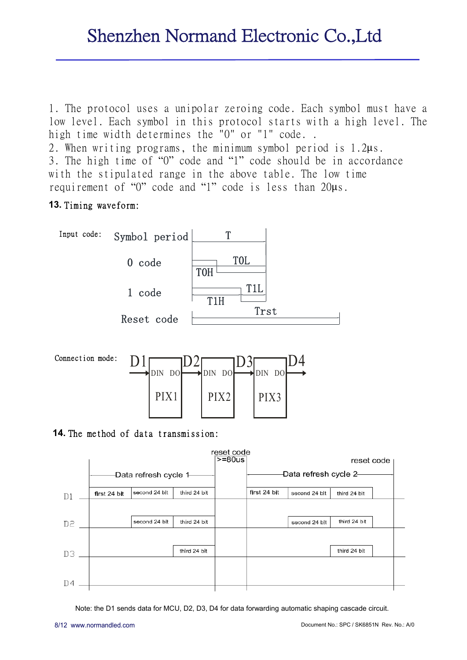1. The protocol uses a unipolar zeroing code. Each symbol must have a low level. Each symbol in this protocol starts with a high level. The high time width determines the "0" or "1" code.. 2. When writing programs, the minimum symbol period is 1.2μs. 3. The high time of "0" code and "1" code should be in accordance with the stipulated range in the above table. The low time

requirement of "0" code and "1" code is less than 20μs.

### **13.** Timing waveform:





### **14.** The method of data transmission:



Note: the D1 sends data for MCU, D2, D3, D4 for data forwarding automatic shaping cascade circuit.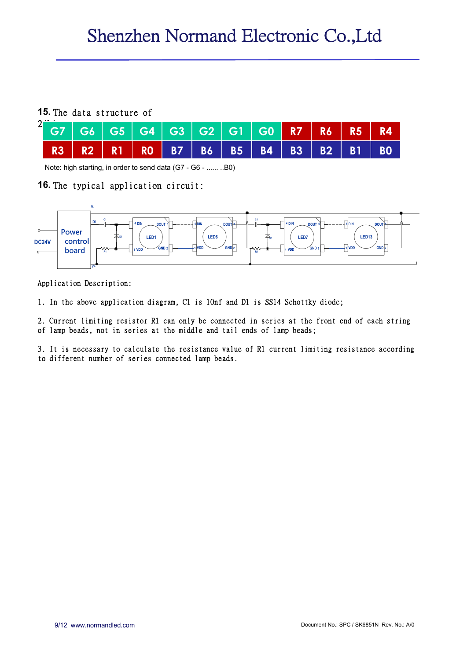#### **15.** The data structure of

|  |  |  | R3   R2   R1   R0   B7   B6   B5   B4   B3   B2   B1   B0 |  |  |  |
|--|--|--|-----------------------------------------------------------|--|--|--|

Note: high starting, in order to send data (G7 - G6 - ...... ..B0)

#### **16.** The typical application circuit:



Application Description:

1. In the above application diagram, C1 is 10nf and D1 is SS14 Schottky diode;

2. Current limiting resistor R1 can only be connected in series at the front end of each string of lamp beads, not in series at the middle and tail ends of lamp beads;

3. It is necessary to calculate the resistance value of R1 current limiting resistance according to different number of series connected lamp beads.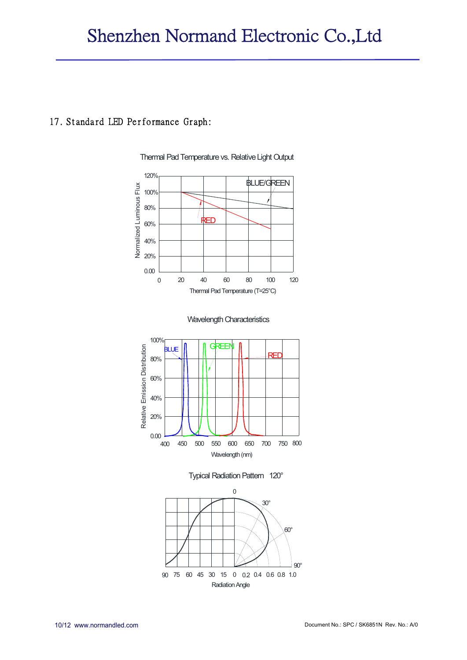#### 17. Standard LED Performance Graph:



Thermal Pad Temperature vs. Relative Light Output







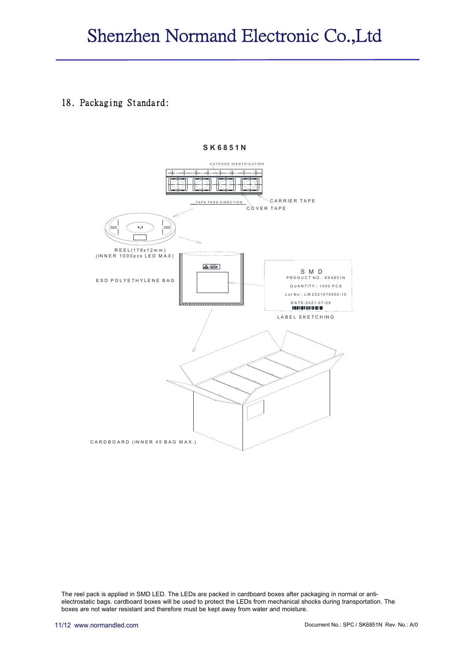#### 18. Packaging Standard:



 **S K 6851N**

The reel pack is applied in SMD LED. The LEDs are packed in cardboard boxes after packaging in normal or antielectrostatic bags. cardboard boxes will be used to protect the LEDs from mechanical shocks during transportation. The boxes are not water resistant and therefore must be kept away from water and moisture.